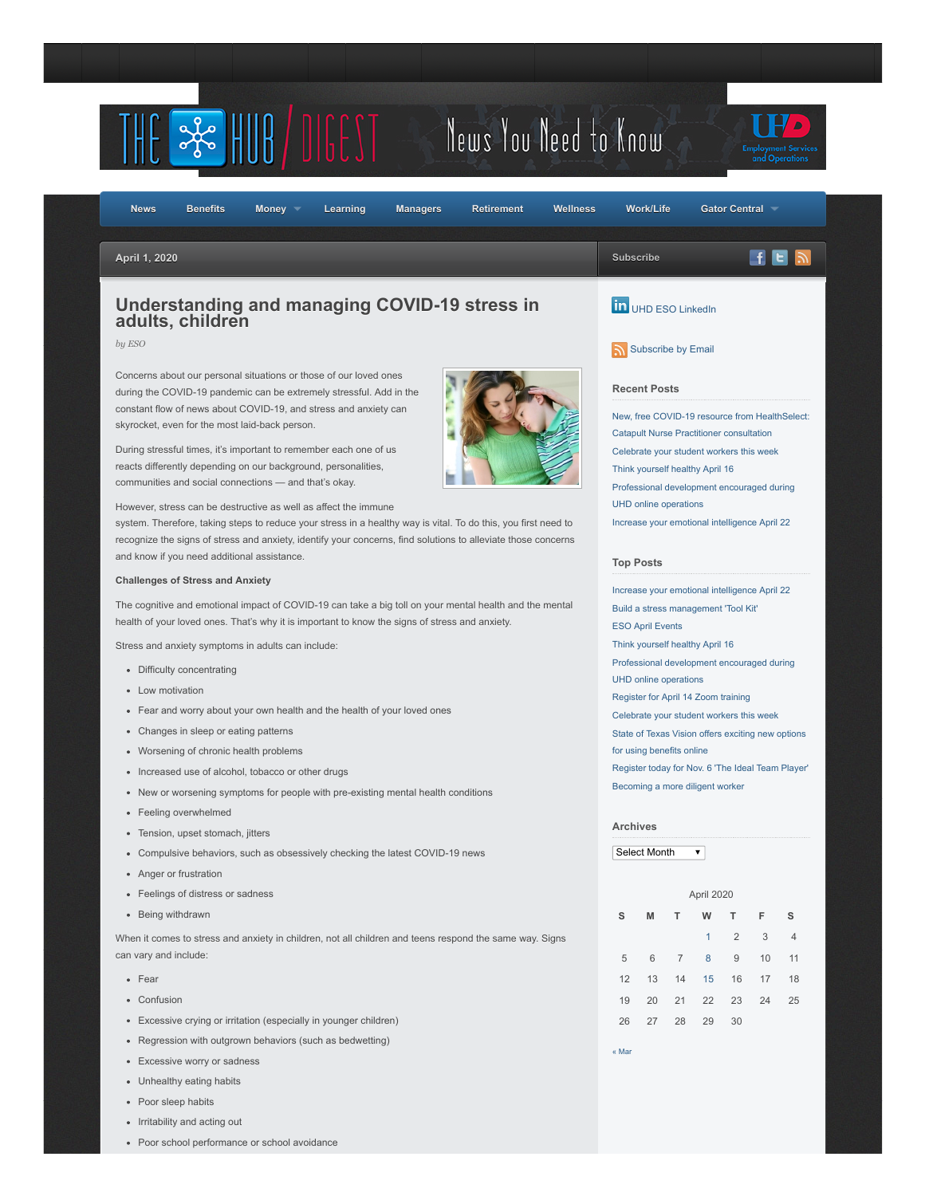

Poor school performance or school avoidance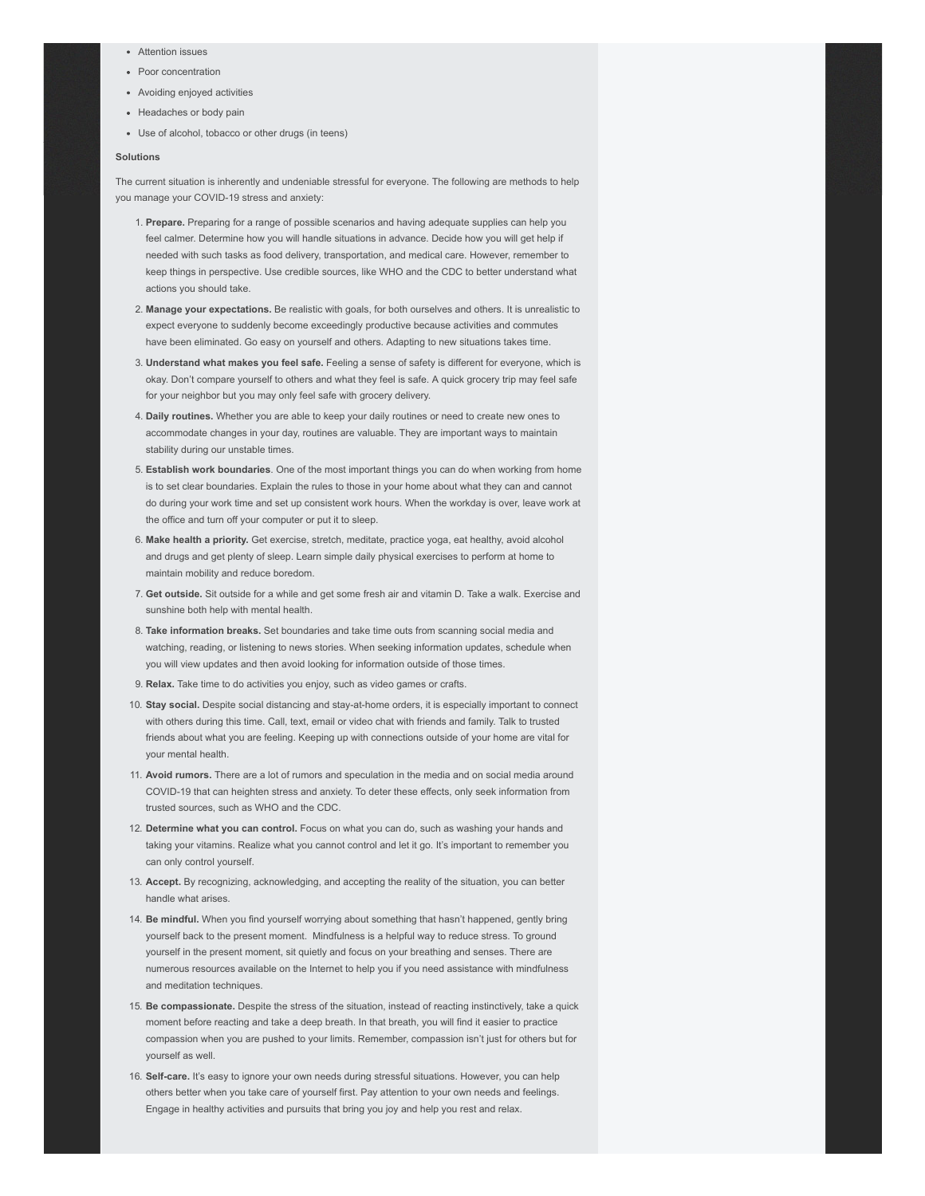- Attention issues
- Poor concentration
- Avoiding enjoyed activities
- Headaches or body pain
- Use of alcohol, tobacco or other drugs (in teens)

#### **Solutions**

The current situation is inherently and undeniable stressful for everyone. The following are methods to help you manage your COVID-19 stress and anxiety:

- 1. **Prepare.** Preparing for a range of possible scenarios and having adequate supplies can help you feel calmer. Determine how you will handle situations in advance. Decide how you will get help if needed with such tasks as food delivery, transportation, and medical care. However, remember to keep things in perspective. Use credible sources, like WHO and the CDC to better understand what actions you should take.
- 2. **Manage your expectations.** Be realistic with goals, for both ourselves and others. It is unrealistic to expect everyone to suddenly become exceedingly productive because activities and commutes have been eliminated. Go easy on yourself and others. Adapting to new situations takes time.
- 3. **Understand what makes you feel safe.** Feeling a sense of safety is different for everyone, which is okay. Don't compare yourself to others and what they feel is safe. A quick grocery trip may feel safe for your neighbor but you may only feel safe with grocery delivery.
- 4. **Daily routines.** Whether you are able to keep your daily routines or need to create new ones to accommodate changes in your day, routines are valuable. They are important ways to maintain stability during our unstable times.
- 5. **Establish work boundaries**. One of the most important things you can do when working from home is to set clear boundaries. Explain the rules to those in your home about what they can and cannot do during your work time and set up consistent work hours. When the workday is over, leave work at the office and turn off your computer or put it to sleep.
- 6. **Make health a priority.** Get exercise, stretch, meditate, practice yoga, eat healthy, avoid alcohol and drugs and get plenty of sleep. Learn simple daily physical exercises to perform at home to maintain mobility and reduce boredom.
- 7. **Get outside.** Sit outside for a while and get some fresh air and vitamin D. Take a walk. Exercise and sunshine both help with mental health.
- 8. **Take information breaks.** Set boundaries and take time outs from scanning social media and watching, reading, or listening to news stories. When seeking information updates, schedule when you will view updates and then avoid looking for information outside of those times.
- 9. **Relax.** Take time to do activities you enjoy, such as video games or crafts.
- 10. **Stay social.** Despite social distancing and stay-at-home orders, it is especially important to connect with others during this time. Call, text, email or video chat with friends and family. Talk to trusted friends about what you are feeling. Keeping up with connections outside of your home are vital for your mental health.
- 11. **Avoid rumors.** There are a lot of rumors and speculation in the media and on social media around COVID-19 that can heighten stress and anxiety. To deter these effects, only seek information from trusted sources, such as WHO and the CDC.
- 12. **Determine what you can control.** Focus on what you can do, such as washing your hands and taking your vitamins. Realize what you cannot control and let it go. It's important to remember you can only control yourself.
- 13. **Accept.** By recognizing, acknowledging, and accepting the reality of the situation, you can better handle what arises.
- 14. **Be mindful.** When you find yourself worrying about something that hasn't happened, gently bring yourself back to the present moment. Mindfulness is a helpful way to reduce stress. To ground yourself in the present moment, sit quietly and focus on your breathing and senses. There are numerous resources available on the Internet to help you if you need assistance with mindfulness and meditation techniques.
- 15. **Be compassionate.** Despite the stress of the situation, instead of reacting instinctively, take a quick moment before reacting and take a deep breath. In that breath, you will find it easier to practice compassion when you are pushed to your limits. Remember, compassion isn't just for others but for yourself as well.
- 16. **Self-care.** It's easy to ignore your own needs during stressful situations. However, you can help others better when you take care of yourself first. Pay attention to your own needs and feelings. Engage in healthy activities and pursuits that bring you joy and help you rest and relax.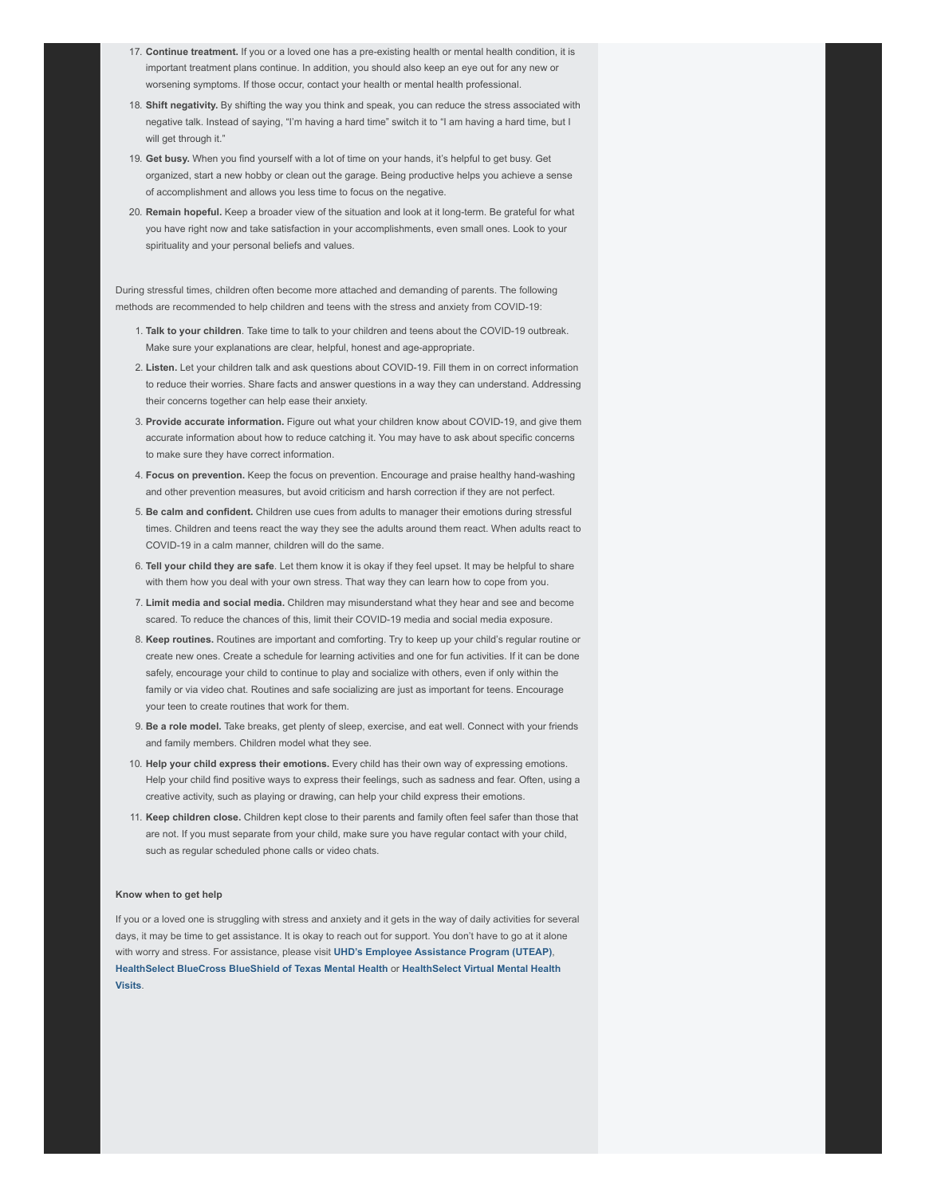- 17. **Continue treatment.** If you or a loved one has a pre-existing health or mental health condition, it is important treatment plans continue. In addition, you should also keep an eye out for any new or worsening symptoms. If those occur, contact your health or mental health professional.
- 18. **Shift negativity.** By shifting the way you think and speak, you can reduce the stress associated with negative talk. Instead of saying, "I'm having a hard time" switch it to "I am having a hard time, but I will get through it."
- 19. **Get busy.** When you find yourself with a lot of time on your hands, it's helpful to get busy. Get organized, start a new hobby or clean out the garage. Being productive helps you achieve a sense of accomplishment and allows you less time to focus on the negative.
- 20. **Remain hopeful.** Keep a broader view of the situation and look at it long-term. Be grateful for what you have right now and take satisfaction in your accomplishments, even small ones. Look to your spirituality and your personal beliefs and values.

During stressful times, children often become more attached and demanding of parents. The following methods are recommended to help children and teens with the stress and anxiety from COVID-19:

- 1. **Talk to your children**. Take time to talk to your children and teens about the COVID-19 outbreak. Make sure your explanations are clear, helpful, honest and age-appropriate.
- 2. **Listen.** Let your children talk and ask questions about COVID-19. Fill them in on correct information to reduce their worries. Share facts and answer questions in a way they can understand. Addressing their concerns together can help ease their anxiety.
- 3. **Provide accurate information.** Figure out what your children know about COVID-19, and give them accurate information about how to reduce catching it. You may have to ask about specific concerns to make sure they have correct information.
- 4. **Focus on prevention.** Keep the focus on prevention. Encourage and praise healthy hand-washing and other prevention measures, but avoid criticism and harsh correction if they are not perfect.
- 5. **Be calm and confident.** Children use cues from adults to manager their emotions during stressful times. Children and teens react the way they see the adults around them react. When adults react to COVID-19 in a calm manner, children will do the same.
- 6. **Tell your child they are safe**. Let them know it is okay if they feel upset. It may be helpful to share with them how you deal with your own stress. That way they can learn how to cope from you.
- 7. **Limit media and social media.** Children may misunderstand what they hear and see and become scared. To reduce the chances of this, limit their COVID-19 media and social media exposure.
- 8. **Keep routines.** Routines are important and comforting. Try to keep up your child's regular routine or create new ones. Create a schedule for learning activities and one for fun activities. If it can be done safely, encourage your child to continue to play and socialize with others, even if only within the family or via video chat. Routines and safe socializing are just as important for teens. Encourage your teen to create routines that work for them.
- 9. **Be a role model.** Take breaks, get plenty of sleep, exercise, and eat well. Connect with your friends and family members. Children model what they see.
- 10. **Help your child express their emotions.** Every child has their own way of expressing emotions. Help your child find positive ways to express their feelings, such as sadness and fear. Often, using a creative activity, such as playing or drawing, can help your child express their emotions.
- 11. **Keep children close.** Children kept close to their parents and family often feel safer than those that are not. If you must separate from your child, make sure you have regular contact with your child, such as regular scheduled phone calls or video chats.

### **Know when to get help**

If you or a loved one is struggling with stress and anxiety and it gets in the way of daily activities for several days, it may be time to get assistance. It is okay to reach out for support. You don't have to go at it alone with worry and stress. For assistance, please visit **[UHD's Employee Assistance Program \(UTEAP\)](https://www.uhd.edu/administration/employment-services-operations/work-life/Pages/hr-eap.aspx)**, **[HealthSelect BlueCross BlueShield of Texas Mental Health](https://healthselect.bcbstx.com/content/medical-benefits/mental-health)** or **HealthSelect Virtual Mental Health Visits**.